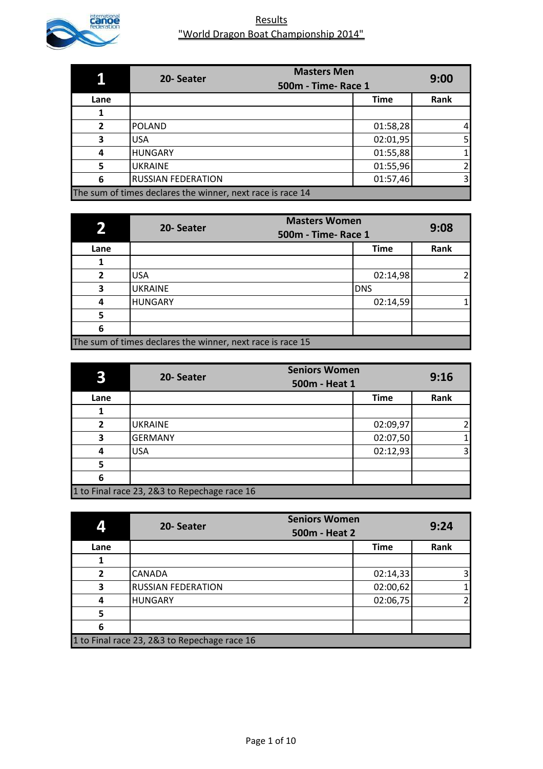

|              | <b>Masters Men</b><br>20-Seater<br><b>500m - Time- Race 1</b> |             | 9:00           |
|--------------|---------------------------------------------------------------|-------------|----------------|
| Lane         |                                                               | <b>Time</b> | Rank           |
|              |                                                               |             |                |
| $\mathbf{z}$ | <b>POLAND</b>                                                 | 01:58,28    | $\overline{4}$ |
| 3            | <b>USA</b>                                                    | 02:01,95    | 5 <sub>l</sub> |
| 4            | <b>HUNGARY</b>                                                | 01:55,88    | $\mathbf{1}$   |
| 5            | <b>UKRAINE</b>                                                | 01:55,96    | $\overline{2}$ |
| 6            | <b>RUSSIAN FEDERATION</b>                                     | 01:57,46    | $\overline{3}$ |
|              | The sum of times declares the winner, next race is race 14    |             |                |

|                | <b>Masters Women</b><br>20-Seater<br><b>500m - Time- Race 1</b> |             | 9:08 |
|----------------|-----------------------------------------------------------------|-------------|------|
| Lane           |                                                                 | <b>Time</b> | Rank |
|                |                                                                 |             |      |
| $\overline{2}$ | <b>USA</b>                                                      | 02:14,98    |      |
| 3              | <b>UKRAINE</b>                                                  | <b>DNS</b>  |      |
| 4              | <b>HUNGARY</b>                                                  | 02:14,59    |      |
| 5              |                                                                 |             |      |
| 6              |                                                                 |             |      |
|                | The sum of times declares the winner, next race is race 15      |             |      |

|                | 20-Seater                                    | <b>Seniors Women</b><br>500m - Heat 1 |             | 9:16 |
|----------------|----------------------------------------------|---------------------------------------|-------------|------|
| Lane           |                                              |                                       | <b>Time</b> | Rank |
|                |                                              |                                       |             |      |
| $\overline{2}$ | <b>UKRAINE</b>                               |                                       | 02:09,97    | 2    |
| 3              | <b>GERMANY</b>                               |                                       | 02:07,50    |      |
| 4              | <b>USA</b>                                   |                                       | 02:12,93    | 3    |
| 5              |                                              |                                       |             |      |
| 6              |                                              |                                       |             |      |
|                | 1 to Final race 23, 2&3 to Repechage race 16 |                                       |             |      |

|                | <b>Seniors Women</b><br>20-Seater<br>500m - Heat 2 |             | 9:24           |
|----------------|----------------------------------------------------|-------------|----------------|
| Lane           |                                                    | <b>Time</b> | Rank           |
|                |                                                    |             |                |
| $\overline{2}$ | <b>CANADA</b>                                      | 02:14,33    | 3 <sub>l</sub> |
| 3              | <b>RUSSIAN FEDERATION</b>                          | 02:00,62    | 1              |
| 4              | <b>HUNGARY</b>                                     | 02:06,75    | $\overline{2}$ |
| 5              |                                                    |             |                |
| 6              |                                                    |             |                |
|                | 1 to Final race 23, 2&3 to Repechage race 16       |             |                |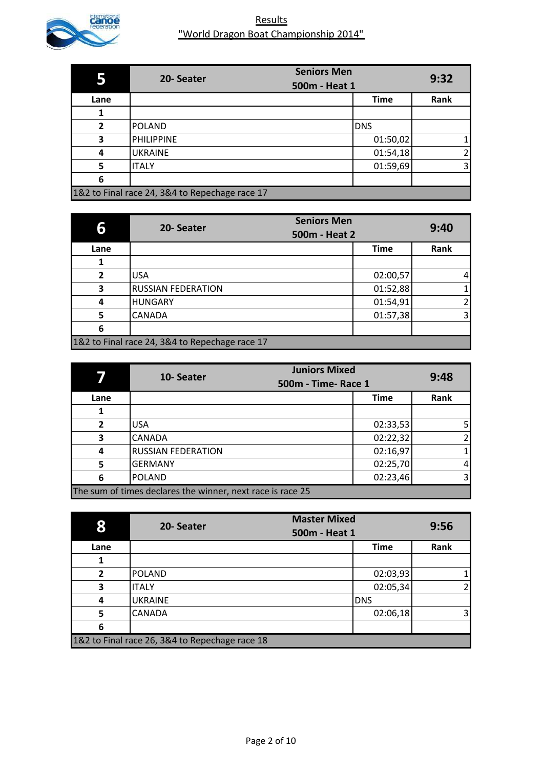

|                | <b>Seniors Men</b><br>20-Seater<br>500m - Heat 1 |             | 9:32           |
|----------------|--------------------------------------------------|-------------|----------------|
| Lane           |                                                  | <b>Time</b> | Rank           |
|                |                                                  |             |                |
| $\overline{2}$ | <b>POLAND</b>                                    | <b>DNS</b>  |                |
| 3              | <b>PHILIPPINE</b>                                | 01:50,02    | 1              |
| 4              | <b>UKRAINE</b>                                   | 01:54,18    | $\overline{2}$ |
| 5              | <b>ITALY</b>                                     | 01:59,69    | $\overline{3}$ |
| 6              |                                                  |             |                |
|                | 1&2 to Final race 24, 3&4 to Repechage race 17   |             |                |

| 6              | <b>Seniors Men</b><br>20-Seater<br>500m - Heat 2 |             | 9:40                    |
|----------------|--------------------------------------------------|-------------|-------------------------|
| Lane           |                                                  | <b>Time</b> | Rank                    |
|                |                                                  |             |                         |
| $\overline{2}$ | <b>USA</b>                                       | 02:00,57    | $\overline{4}$          |
| 3              | <b>RUSSIAN FEDERATION</b>                        | 01:52,88    | 1                       |
| 4              | <b>HUNGARY</b>                                   | 01:54,91    | $\overline{2}$          |
| 5              | <b>CANADA</b>                                    | 01:57,38    | $\overline{\mathsf{3}}$ |
| 6              |                                                  |             |                         |
|                | 1&2 to Final race 24, 3&4 to Repechage race 17   |             |                         |

|                | <b>Juniors Mixed</b><br>10-Seater<br><b>500m - Time- Race 1</b> |             | 9:48           |
|----------------|-----------------------------------------------------------------|-------------|----------------|
| Lane           |                                                                 | <b>Time</b> | Rank           |
|                |                                                                 |             |                |
| $\overline{2}$ | <b>USA</b>                                                      | 02:33,53    | 5 <sub>l</sub> |
| 3              | <b>CANADA</b>                                                   | 02:22,32    | $\overline{2}$ |
| 4              | <b>RUSSIAN FEDERATION</b>                                       | 02:16,97    | $\mathbf{1}$   |
| 5              | <b>GERMANY</b>                                                  | 02:25,70    | $\overline{4}$ |
| 6              | <b>POLAND</b>                                                   | 02:23,46    | $\overline{3}$ |
|                | The sum of times declares the winner, next race is race 25      |             |                |

| 8            | 20-Seater                                      | <b>Master Mixed</b><br>500m - Heat 1 |             | 9:56 |
|--------------|------------------------------------------------|--------------------------------------|-------------|------|
| Lane         |                                                |                                      | <b>Time</b> | Rank |
|              |                                                |                                      |             |      |
| $\mathbf{z}$ | <b>POLAND</b>                                  |                                      | 02:03,93    |      |
| 3            | <b>ITALY</b>                                   |                                      | 02:05,34    |      |
| 4            | <b>UKRAINE</b>                                 |                                      | <b>DNS</b>  |      |
| 5            | <b>CANADA</b>                                  |                                      | 02:06,18    | 3    |
| 6            |                                                |                                      |             |      |
|              | 1&2 to Final race 26, 3&4 to Repechage race 18 |                                      |             |      |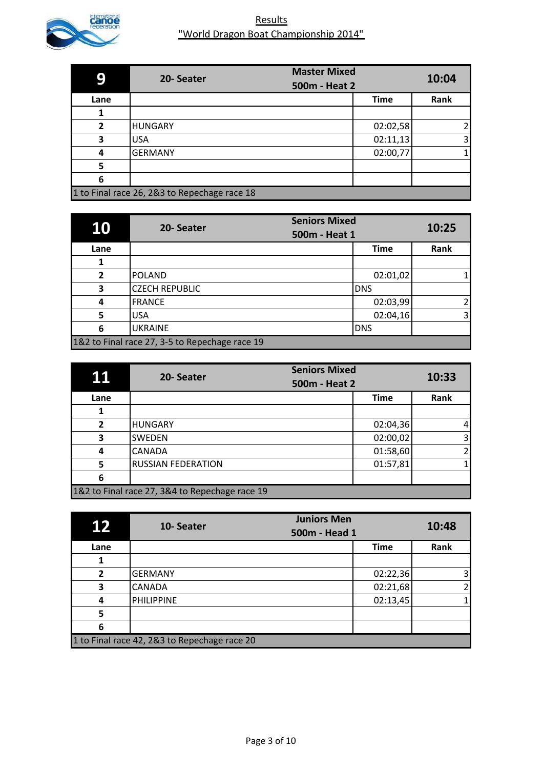

|              | 20-Seater                                    | <b>Master Mixed</b> |             | 10:04          |
|--------------|----------------------------------------------|---------------------|-------------|----------------|
|              |                                              | 500m - Heat 2       |             |                |
| Lane         |                                              |                     | <b>Time</b> | Rank           |
|              |                                              |                     |             |                |
| $\mathbf{z}$ | <b>HUNGARY</b>                               |                     | 02:02,58    | 2              |
| 3            | <b>USA</b>                                   |                     | 02:11,13    | $\overline{3}$ |
| 4            | <b>GERMANY</b>                               |                     | 02:00,77    | 1              |
| 5            |                                              |                     |             |                |
| 6            |                                              |                     |             |                |
|              | 1 to Final race 26, 2&3 to Repechage race 18 |                     |             |                |

| 10             | 20-Seater                                      | <b>Seniors Mixed</b><br>500m - Heat 1 | 10:25                   |
|----------------|------------------------------------------------|---------------------------------------|-------------------------|
| Lane           |                                                | <b>Time</b>                           | Rank                    |
|                |                                                |                                       |                         |
| $\overline{2}$ | <b>POLAND</b>                                  | 02:01,02                              |                         |
| 3              | <b>CZECH REPUBLIC</b>                          | <b>DNS</b>                            |                         |
| 4              | <b>FRANCE</b>                                  | 02:03,99                              | 21                      |
| 5              | <b>USA</b>                                     | 02:04,16                              | $\overline{\mathsf{3}}$ |
| 6              | <b>UKRAINE</b>                                 | <b>DNS</b>                            |                         |
|                | 1&2 to Final race 27, 3-5 to Repechage race 19 |                                       |                         |

| 11             | 20-Seater                                      | <b>Seniors Mixed</b><br>500m - Heat 2 | 10:33                               |
|----------------|------------------------------------------------|---------------------------------------|-------------------------------------|
| Lane           |                                                | <b>Time</b>                           | Rank                                |
|                |                                                |                                       |                                     |
| $\overline{2}$ | <b>HUNGARY</b>                                 |                                       | 02:04,36<br>$\mathbf{4}$            |
| 3              | <b>SWEDEN</b>                                  |                                       | 02:00,02<br>$\overline{\mathbf{3}}$ |
| 4              | <b>CANADA</b>                                  |                                       | $\overline{2}$<br>01:58,60          |
| 5              | <b>RUSSIAN FEDERATION</b>                      |                                       | 01:57,81<br>1                       |
| 6              |                                                |                                       |                                     |
|                | 1&2 to Final race 27, 3&4 to Repechage race 19 |                                       |                                     |

| 12                                           | 10-Seater      | <b>Juniors Men</b><br>500m - Head 1 | 10:48                   |
|----------------------------------------------|----------------|-------------------------------------|-------------------------|
| Lane                                         |                | <b>Time</b>                         | Rank                    |
|                                              |                |                                     |                         |
| $\overline{2}$                               | <b>GERMANY</b> | 02:22,36                            | $\overline{\mathbf{3}}$ |
| 3                                            | <b>CANADA</b>  | 02:21,68                            | $\overline{2}$          |
| 4                                            | PHILIPPINE     | 02:13,45                            | 1                       |
| 5                                            |                |                                     |                         |
| 6                                            |                |                                     |                         |
| 1 to Final race 42, 2&3 to Repechage race 20 |                |                                     |                         |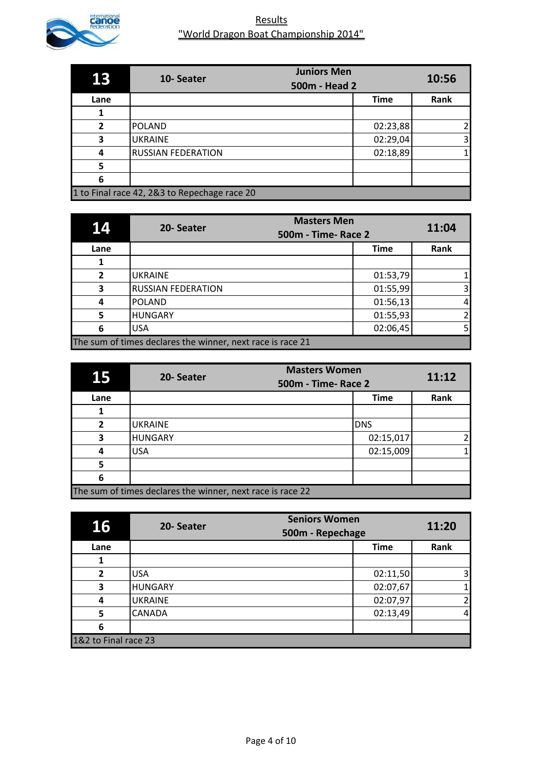

| 13           | <b>Juniors Men</b><br>10-Seater<br>500m - Head 2 |  | 10:56       |                |
|--------------|--------------------------------------------------|--|-------------|----------------|
|              |                                                  |  |             |                |
| Lane         |                                                  |  | <b>Time</b> | Rank           |
|              |                                                  |  |             |                |
| $\mathbf{z}$ | <b>POLAND</b>                                    |  | 02:23,88    | 2              |
| 3            | <b>UKRAINE</b>                                   |  | 02:29,04    | $\overline{3}$ |
| 4            | <b>RUSSIAN FEDERATION</b>                        |  | 02:18,89    | 1              |
| 5            |                                                  |  |             |                |
| 6            |                                                  |  |             |                |
|              | 1 to Final race 42, 2&3 to Repechage race 20     |  |             |                |

| 14             | <b>Masters Men</b><br>20-Seater<br>500m - Time- Race 2     |             | 11:04                   |
|----------------|------------------------------------------------------------|-------------|-------------------------|
| Lane           |                                                            | <b>Time</b> | Rank                    |
|                |                                                            |             |                         |
| $\overline{2}$ | <b>UKRAINE</b>                                             | 01:53,79    | 1                       |
| 3              | <b>RUSSIAN FEDERATION</b>                                  | 01:55,99    | $\overline{\mathbf{3}}$ |
| 4              | <b>POLAND</b>                                              | 01:56,13    | $\overline{4}$          |
| 5              | <b>HUNGARY</b>                                             | 01:55,93    | $\overline{2}$          |
| 6              | <b>USA</b>                                                 | 02:06,45    | 5 <sub>l</sub>          |
|                | The sum of times declares the winner, next race is race 21 |             |                         |

| 15           | 20-Seater                                                  | <b>Masters Women</b><br>500m - Time- Race 2 |                |
|--------------|------------------------------------------------------------|---------------------------------------------|----------------|
| Lane         |                                                            | <b>Time</b>                                 | Rank           |
|              |                                                            |                                             |                |
| $\mathbf{z}$ | <b>UKRAINE</b>                                             | <b>DNS</b>                                  |                |
| 3            | <b>HUNGARY</b>                                             | 02:15,017                                   | $\overline{2}$ |
| 4            | <b>USA</b>                                                 | 02:15,009                                   |                |
| 5            |                                                            |                                             |                |
| 6            |                                                            |                                             |                |
|              | The sum of times declares the winner, next race is race 22 |                                             |                |

| 16                   | 20-Seater      | <b>Seniors Women</b><br>500m - Repechage | 11:20                   |
|----------------------|----------------|------------------------------------------|-------------------------|
| Lane                 |                | <b>Time</b>                              | Rank                    |
|                      |                |                                          |                         |
| $\overline{2}$       | <b>USA</b>     | 02:11,50                                 | $\overline{\mathbf{3}}$ |
| 3                    | <b>HUNGARY</b> | 02:07,67                                 | $\mathbf{1}$            |
| 4                    | <b>UKRAINE</b> | 02:07,97                                 | $\overline{2}$          |
| 5                    | <b>CANADA</b>  | 02:13,49                                 | $\overline{4}$          |
| 6                    |                |                                          |                         |
| 1&2 to Final race 23 |                |                                          |                         |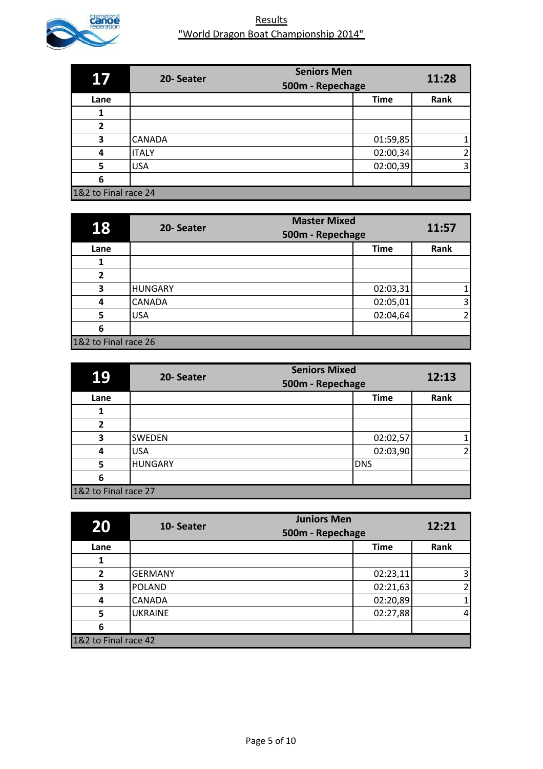

| <b>17</b>            | 20-Seater     | <b>Seniors Men</b><br>500m - Repechage | 11:28          |
|----------------------|---------------|----------------------------------------|----------------|
| Lane                 |               | <b>Time</b>                            | Rank           |
|                      |               |                                        |                |
| $\overline{2}$       |               |                                        |                |
| 3                    | <b>CANADA</b> | 01:59,85                               | 1 <sub>1</sub> |
| 4                    | <b>ITALY</b>  | 02:00,34                               | $\overline{2}$ |
| 5                    | <b>USA</b>    | 02:00,39                               | $\overline{3}$ |
| 6                    |               |                                        |                |
| 1&2 to Final race 24 |               |                                        |                |

| 18                   | 20-Seater      | <b>Master Mixed</b><br>500m - Repechage | 11:57                   |
|----------------------|----------------|-----------------------------------------|-------------------------|
| Lane                 |                | <b>Time</b>                             | Rank                    |
|                      |                |                                         |                         |
| $\overline{2}$       |                |                                         |                         |
| 3                    | <b>HUNGARY</b> | 02:03,31                                | 1                       |
| 4                    | <b>CANADA</b>  | 02:05,01                                | $\overline{\mathbf{3}}$ |
| 5                    | <b>USA</b>     | 02:04,64                                | 21                      |
| 6                    |                |                                         |                         |
| 1&2 to Final race 26 |                |                                         |                         |

| 19                   | 20-Seater      | <b>Seniors Mixed</b><br>500m - Repechage |             | 12:13          |
|----------------------|----------------|------------------------------------------|-------------|----------------|
| Lane                 |                |                                          | <b>Time</b> | Rank           |
|                      |                |                                          |             |                |
| $\mathbf{z}$         |                |                                          |             |                |
| 3                    | <b>SWEDEN</b>  |                                          | 02:02,57    | 1              |
| 4                    | <b>USA</b>     |                                          | 02:03,90    | $\overline{2}$ |
| 5                    | <b>HUNGARY</b> |                                          | <b>DNS</b>  |                |
| 6                    |                |                                          |             |                |
| 1&2 to Final race 27 |                |                                          |             |                |

| 20                   | 10-Seater      | <b>Juniors Men</b><br>500m - Repechage | 12:21                   |
|----------------------|----------------|----------------------------------------|-------------------------|
| Lane                 |                | <b>Time</b>                            | Rank                    |
|                      |                |                                        |                         |
| $\overline{2}$       | <b>GERMANY</b> | 02:23,11                               | $\overline{\mathbf{3}}$ |
| 3                    | <b>POLAND</b>  | 02:21,63                               | $\overline{2}$          |
| 4                    | <b>CANADA</b>  | 02:20,89                               | 1                       |
| 5                    | <b>UKRAINE</b> | 02:27,88                               | $\overline{4}$          |
| 6                    |                |                                        |                         |
| 1&2 to Final race 42 |                |                                        |                         |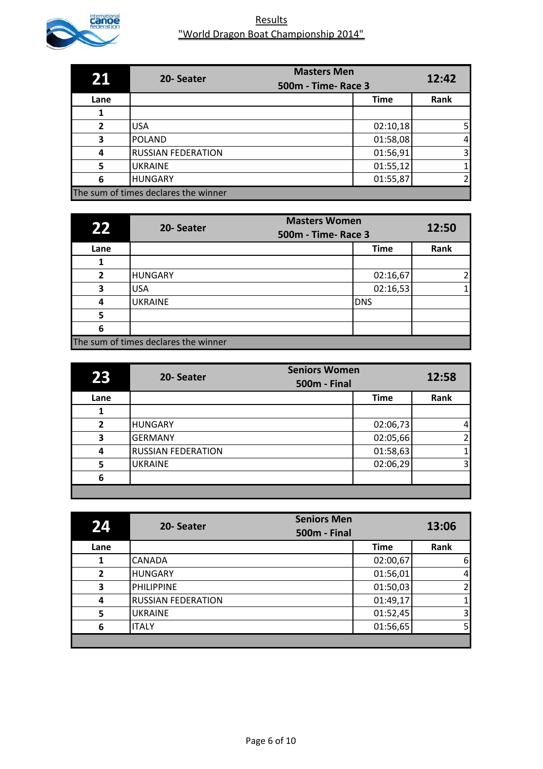

| 21           | <b>Masters Men</b><br>20-Seater<br><b>500m - Time- Race 3</b> |             | 12:42          |
|--------------|---------------------------------------------------------------|-------------|----------------|
| Lane         |                                                               | <b>Time</b> | Rank           |
|              |                                                               |             |                |
| $\mathbf{2}$ | <b>USA</b>                                                    | 02:10,18    | 5 <sub>l</sub> |
| 3            | <b>POLAND</b>                                                 | 01:58,08    | $\overline{4}$ |
| 4            | <b>RUSSIAN FEDERATION</b>                                     | 01:56,91    | $\overline{3}$ |
| 5            | <b>UKRAINE</b>                                                | 01:55,12    | 1              |
| 6            | <b>HUNGARY</b>                                                | 01:55,87    | $\overline{2}$ |
|              | The sum of times declares the winner                          |             |                |

| 22             | 20-Seater                            | <b>Masters Women</b><br>500m - Time- Race 3 | 12:50 |
|----------------|--------------------------------------|---------------------------------------------|-------|
| Lane           |                                      | <b>Time</b>                                 | Rank  |
|                |                                      |                                             |       |
| $\overline{2}$ | <b>HUNGARY</b>                       | 02:16,67                                    |       |
| 3              | <b>USA</b>                           | 02:16,53                                    |       |
| 4              | <b>UKRAINE</b>                       | <b>DNS</b>                                  |       |
| 5              |                                      |                                             |       |
| 6              |                                      |                                             |       |
|                | The sum of times declares the winner |                                             |       |

| 23           | <b>Seniors Women</b><br>20-Seater<br><b>500m - Final</b> |             | 12:58          |
|--------------|----------------------------------------------------------|-------------|----------------|
| Lane         |                                                          | <b>Time</b> | Rank           |
|              |                                                          |             |                |
| $\mathbf{z}$ | <b>HUNGARY</b>                                           | 02:06,73    | $\overline{4}$ |
| 3            | <b>GERMANY</b>                                           | 02:05,66    | $\overline{2}$ |
| 4            | <b>RUSSIAN FEDERATION</b>                                | 01:58,63    |                |
| 5            | <b>UKRAINE</b>                                           | 02:06,29    | 3 <sub>l</sub> |
| 6            |                                                          |             |                |
|              |                                                          |             |                |

| 24             | 20-Seater                 | <b>Seniors Men</b><br><b>500m - Final</b> |             | 13:06          |
|----------------|---------------------------|-------------------------------------------|-------------|----------------|
| Lane           |                           |                                           | <b>Time</b> | Rank           |
|                | <b>CANADA</b>             |                                           | 02:00,67    | $6 \mid$       |
| $\overline{2}$ | <b>HUNGARY</b>            |                                           | 01:56,01    | $\overline{4}$ |
| 3              | <b>PHILIPPINE</b>         |                                           | 01:50,03    | $\overline{2}$ |
| 4              | <b>RUSSIAN FEDERATION</b> |                                           | 01:49,17    | 1              |
| 5              | <b>UKRAINE</b>            |                                           | 01:52,45    | 3              |
| 6              | <b>ITALY</b>              |                                           | 01:56,65    | 5 <sub>1</sub> |
|                |                           |                                           |             |                |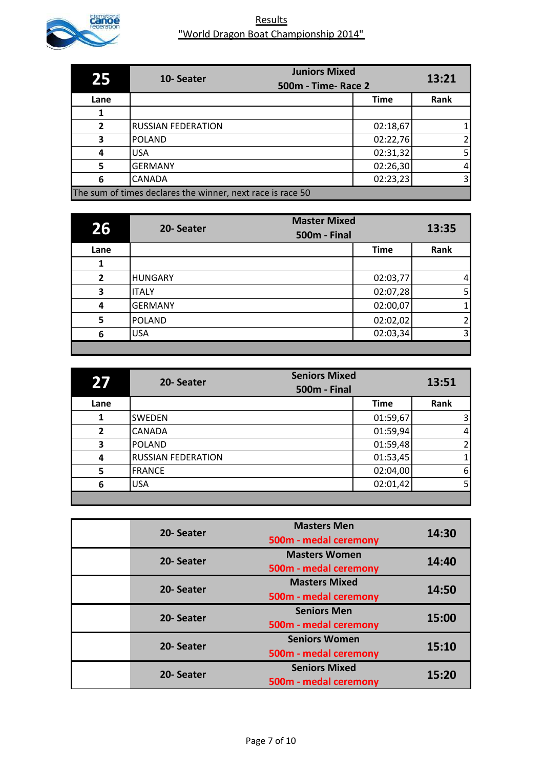

| 25           | <b>Juniors Mixed</b><br>10-Seater<br>500m - Time- Race 2   |             | 13:21          |
|--------------|------------------------------------------------------------|-------------|----------------|
| Lane         |                                                            | <b>Time</b> | Rank           |
|              |                                                            |             |                |
| $\mathbf{z}$ | <b>RUSSIAN FEDERATION</b>                                  | 02:18,67    |                |
| 3            | <b>POLAND</b>                                              | 02:22,76    | $\overline{2}$ |
| 4            | <b>USA</b>                                                 | 02:31,32    | 5 <sub>l</sub> |
| 5            | <b>GERMANY</b>                                             | 02:26,30    | $\overline{4}$ |
| 6            | <b>CANADA</b>                                              | 02:23,23    | $\overline{3}$ |
|              | The sum of times declares the winner, next race is race 50 |             |                |

| 267            | 20-Seater      | <b>Master Mixed</b><br><b>500m - Final</b> | 13:35          |
|----------------|----------------|--------------------------------------------|----------------|
| Lane           |                | <b>Time</b>                                | Rank           |
| 1              |                |                                            |                |
| $\overline{2}$ | <b>HUNGARY</b> | 02:03,77                                   | $\mathbf{A}$   |
| 3              | <b>ITALY</b>   | 02:07,28                                   | 5              |
| 4              | <b>GERMANY</b> | 02:00,07                                   | 1 <sub>1</sub> |
| 5              | <b>POLAND</b>  | 02:02,02                                   | $\overline{2}$ |
| 6              | <b>USA</b>     | 02:03,34                                   | 3 <sup>1</sup> |
|                |                |                                            |                |

| 27             | <b>Seniors Mixed</b><br>20-Seater<br><b>500m - Final</b> |             | 13:51          |
|----------------|----------------------------------------------------------|-------------|----------------|
| Lane           |                                                          | <b>Time</b> | Rank           |
|                | <b>SWEDEN</b>                                            | 01:59,67    | 3              |
| $\overline{2}$ | <b>CANADA</b>                                            | 01:59,94    | $\overline{4}$ |
| 3              | <b>POLAND</b>                                            | 01:59,48    | 2              |
| 4              | <b>RUSSIAN FEDERATION</b>                                | 01:53,45    | $\mathbf{1}$   |
| 5              | <b>FRANCE</b>                                            | 02:04,00    | 6              |
| 6              | <b>USA</b>                                               | 02:01,42    | 5              |
|                |                                                          |             |                |

| 20-Seater | <b>Masters Men</b><br>500m - medal ceremony   | 14:30 |
|-----------|-----------------------------------------------|-------|
| 20-Seater | <b>Masters Women</b><br>500m - medal ceremony | 14:40 |
| 20-Seater | <b>Masters Mixed</b><br>500m - medal ceremony | 14:50 |
| 20-Seater | <b>Seniors Men</b><br>500m - medal ceremony   | 15:00 |
| 20-Seater | <b>Seniors Women</b><br>500m - medal ceremony | 15:10 |
| 20-Seater | <b>Seniors Mixed</b><br>500m - medal ceremony | 15:20 |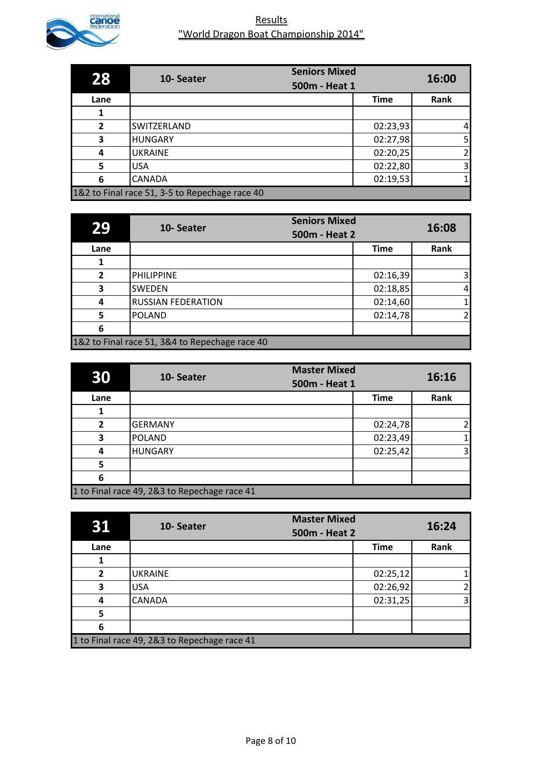

| 28           | 10-Seater                                      | <b>Seniors Mixed</b> |             | 16:00          |
|--------------|------------------------------------------------|----------------------|-------------|----------------|
|              |                                                | 500m - Heat 1        |             |                |
| Lane         |                                                |                      | <b>Time</b> | Rank           |
|              |                                                |                      |             |                |
| $\mathbf{2}$ | SWITZERLAND                                    |                      | 02:23,93    | $\overline{4}$ |
| 3            | <b>HUNGARY</b>                                 |                      | 02:27,98    | 5 <sub>l</sub> |
| 4            | <b>UKRAINE</b>                                 |                      | 02:20,25    | $\overline{2}$ |
| 5            | <b>USA</b>                                     |                      | 02:22,80    | $\overline{3}$ |
| 6            | <b>CANADA</b>                                  |                      | 02:19,53    | 1              |
|              | 1&2 to Final race 51, 3-5 to Repechage race 40 |                      |             |                |

| 29           | 10-Seater                                      | <b>Seniors Mixed</b><br>500m - Heat 2 |             | 16:08                   |
|--------------|------------------------------------------------|---------------------------------------|-------------|-------------------------|
| Lane         |                                                |                                       | <b>Time</b> | Rank                    |
|              |                                                |                                       |             |                         |
| $\mathbf{z}$ | <b>PHILIPPINE</b>                              |                                       | 02:16,39    | $\overline{\mathsf{3}}$ |
| 3            | <b>SWEDEN</b>                                  |                                       | 02:18,85    | 4                       |
| 4            | <b>RUSSIAN FEDERATION</b>                      |                                       | 02:14,60    |                         |
| 5            | <b>POLAND</b>                                  |                                       | 02:14,78    | 2                       |
| 6            |                                                |                                       |             |                         |
|              | 1&2 to Final race 51, 3&4 to Repechage race 40 |                                       |             |                         |

| 30             | 10-Seater                                    | <b>Master Mixed</b><br>500m - Heat 1 |             | 16:16 |
|----------------|----------------------------------------------|--------------------------------------|-------------|-------|
| Lane           |                                              |                                      | <b>Time</b> | Rank  |
|                |                                              |                                      |             |       |
| $\overline{2}$ | <b>GERMANY</b>                               |                                      | 02:24,78    | 2     |
| 3              | <b>POLAND</b>                                |                                      | 02:23,49    |       |
| 4              | <b>HUNGARY</b>                               |                                      | 02:25,42    | 3     |
| 5              |                                              |                                      |             |       |
| 6              |                                              |                                      |             |       |
|                | 1 to Final race 49, 2&3 to Repechage race 41 |                                      |             |       |

| 31           | 10-Seater                                    | <b>Master Mixed</b><br>500m - Heat 2 |             | 16:24          |
|--------------|----------------------------------------------|--------------------------------------|-------------|----------------|
| Lane         |                                              |                                      | <b>Time</b> | Rank           |
|              |                                              |                                      |             |                |
| $\mathbf{z}$ | <b>UKRAINE</b>                               |                                      | 02:25,12    | 1              |
| 3            | <b>USA</b>                                   |                                      | 02:26,92    | $\overline{2}$ |
| 4            | <b>CANADA</b>                                |                                      | 02:31,25    | $\overline{3}$ |
| 5            |                                              |                                      |             |                |
| 6            |                                              |                                      |             |                |
|              | 1 to Final race 49, 2&3 to Repechage race 41 |                                      |             |                |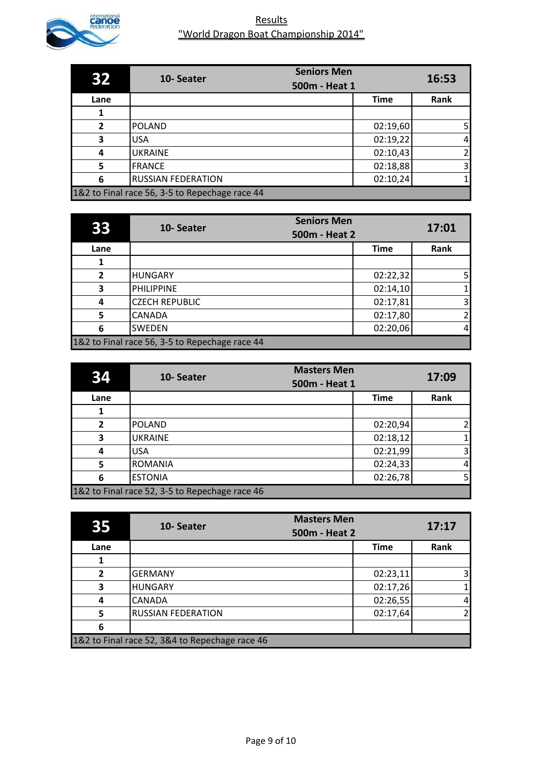

|              | 10-Seater                                      | <b>Seniors Men</b> | 16:53          |
|--------------|------------------------------------------------|--------------------|----------------|
|              |                                                | 500m - Heat 1      |                |
| Lane         |                                                | <b>Time</b>        | Rank           |
|              |                                                |                    |                |
| $\mathbf{2}$ | <b>POLAND</b>                                  | 02:19,60           | 5 <sub>l</sub> |
| 3            | <b>USA</b>                                     | 02:19,22           | $\overline{a}$ |
| 4            | <b>UKRAINE</b>                                 | 02:10,43           | $\overline{2}$ |
| 5            | <b>FRANCE</b>                                  | 02:18,88           | $\overline{3}$ |
| 6            | <b>RUSSIAN FEDERATION</b>                      | 02:10,24           | $\mathbf{1}$   |
|              | 1&2 to Final race 56, 3-5 to Repechage race 44 |                    |                |

| 33             | 10-Seater                                      | <b>Seniors Men</b><br>500m - Heat 2 |             | 17:01          |
|----------------|------------------------------------------------|-------------------------------------|-------------|----------------|
| Lane           |                                                |                                     | <b>Time</b> | Rank           |
|                |                                                |                                     |             |                |
| $\overline{2}$ | <b>HUNGARY</b>                                 |                                     | 02:22,32    | 5              |
| 3              | <b>PHILIPPINE</b>                              |                                     | 02:14,10    | 1              |
| 4              | <b>CZECH REPUBLIC</b>                          |                                     | 02:17,81    | 3              |
| 5              | <b>CANADA</b>                                  |                                     | 02:17,80    | $\overline{2}$ |
| 6              | <b>SWEDEN</b>                                  |                                     | 02:20,06    | 4              |
|                | 1&2 to Final race 56, 3-5 to Repechage race 44 |                                     |             |                |

| 34   | 10-Seater                                      | <b>Masters Men</b><br>500m - Heat 1 |          | 17:09                   |
|------|------------------------------------------------|-------------------------------------|----------|-------------------------|
| Lane |                                                |                                     | Time     | Rank                    |
|      |                                                |                                     |          |                         |
| 2    | <b>POLAND</b>                                  |                                     | 02:20,94 | $\overline{2}$          |
| 3    | <b>UKRAINE</b>                                 |                                     | 02:18,12 | 1                       |
| 4    | <b>USA</b>                                     |                                     | 02:21,99 | $\overline{\mathbf{3}}$ |
| 5    | <b>ROMANIA</b>                                 |                                     | 02:24,33 | $\overline{4}$          |
| 6    | <b>ESTONIA</b>                                 |                                     | 02:26,78 | 5 <sub>l</sub>          |
|      | 1&2 to Final race 52, 3-5 to Repechage race 46 |                                     |          |                         |

| 35             | 10-Seater                                      | <b>Masters Men</b><br>500m - Heat 2 |             | 17:17                   |
|----------------|------------------------------------------------|-------------------------------------|-------------|-------------------------|
| Lane           |                                                |                                     | <b>Time</b> | Rank                    |
|                |                                                |                                     |             |                         |
| $\overline{2}$ | <b>GERMANY</b>                                 |                                     | 02:23,11    | $\overline{\mathsf{3}}$ |
| 3              | <b>HUNGARY</b>                                 |                                     | 02:17,26    | $\mathbf{1}$            |
| 4              | <b>CANADA</b>                                  |                                     | 02:26,55    | $\overline{4}$          |
| 5              | <b>RUSSIAN FEDERATION</b>                      |                                     | 02:17,64    | $\overline{2}$          |
| 6              |                                                |                                     |             |                         |
|                | 1&2 to Final race 52, 3&4 to Repechage race 46 |                                     |             |                         |